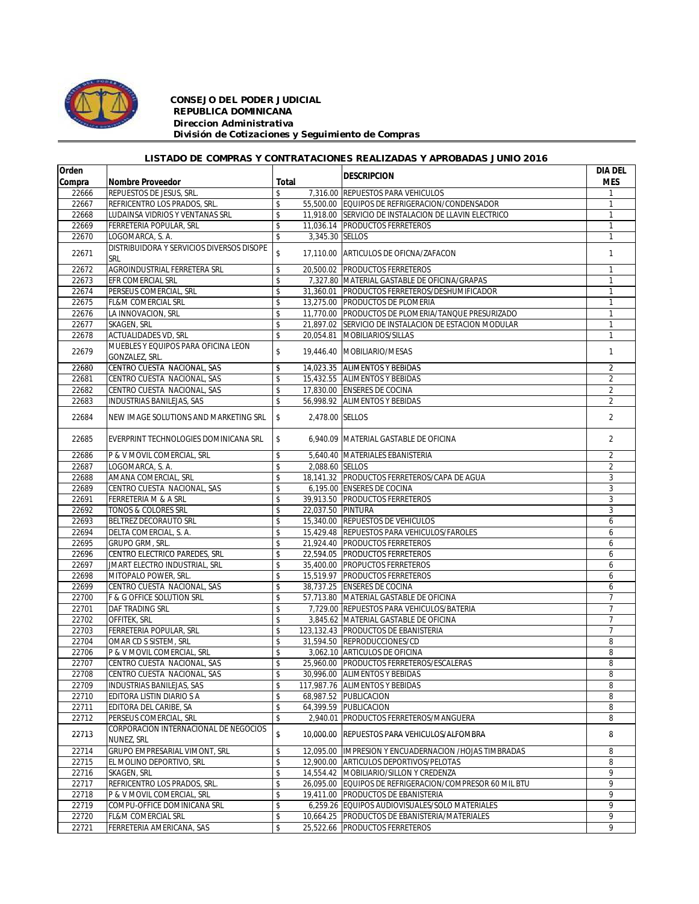

## *CONSEJO DEL PODER JUDICIAL REPUBLICA DOMINICANA Direccion Administrativa División de Cotizaciones y Seguimiento de Compras*

## *LISTADO DE COMPRAS Y CONTRATACIONES REALIZADAS Y APROBADAS JUNIO 2016*

| Orden  |                                           |                          |                   | <b>DESCRIPCION</b>                                      | <b>DIA DEL</b> |
|--------|-------------------------------------------|--------------------------|-------------------|---------------------------------------------------------|----------------|
| Compra | <b>Nombre Proveedor</b>                   | Total                    |                   |                                                         | <b>MES</b>     |
| 22666  | REPUESTOS DE JESUS, SRL.                  | \$                       |                   | 7,316.00 REPUESTOS PARA VEHICULOS                       |                |
| 22667  | REFRICENTRO LOS PRADOS, SRL.              | \$                       |                   | 55,500.00 EQUIPOS DE REFRIGERACION/CONDENSADOR          | $\mathbf{1}$   |
| 22668  | LUDAINSA VIDRIOS Y VENTANAS SRL           | \$                       |                   | 11,918.00 SERVICIO DE INSTALACION DE LLAVIN ELECTRICO   | $\mathbf{1}$   |
| 22669  | FERRETERIA POPULAR, SRL                   | \$                       |                   | 11,036.14 PRODUCTOS FERRETEROS                          | $\mathbf{1}$   |
| 22670  | LOGOMARCA, S. A.                          | \$                       | 3,345.30 SELLOS   |                                                         | $\mathbf{1}$   |
|        | DISTRIBUIDORA Y SERVICIOS DIVERSOS DISOPE |                          |                   |                                                         |                |
| 22671  | SRL                                       | $\mathsf{\$}$            |                   | 17,110.00 ARTICULOS DE OFICNA/ZAFACON                   | $\mathbf{1}$   |
| 22672  | AGROINDUSTRIAL FERRETERA SRL              | \$                       |                   | 20,500.02 PRODUCTOS FERRETEROS                          | $\mathbf{1}$   |
| 22673  | EFR COMERCIAL SRL                         | \$                       |                   | 7,327.80 MATERIAL GASTABLE DE OFICINA/GRAPAS            | $\mathbf{1}$   |
| 22674  | PERSEUS COMERCIAL, SRL                    | \$                       |                   | 31,360.01 PRODUCTOS FERRETEROS/DESHUMIFICADOR           | $\mathbf{1}$   |
| 22675  | <b>FL&amp;M COMERCIAL SRL</b>             | \$                       |                   | 13,275.00 PRODUCTOS DE PLOMERIA                         | $\mathbf{1}$   |
| 22676  | LA INNOVACION, SRL                        | \$                       |                   | 11,770.00 PRODUCTOS DE PLOMERIA/TANQUE PRESURIZADO      | $\mathbf{1}$   |
| 22677  | SKAGEN, SRL                               | \$                       |                   | 21,897.02 SERVICIO DE INSTALACION DE ESTACION MODULAR   | $\mathbf{1}$   |
| 22678  | <b>ACTUALIDADES VD, SRL</b>               | \$                       |                   | 20,054.81 MOBILIARIOS/SILLAS                            | $\mathbf{1}$   |
|        | MUEBLES Y EQUIPOS PARA OFICINA LEON       |                          |                   |                                                         |                |
| 22679  | GONZALEZ, SRL.                            | $\mathsf{\$}$            |                   | 19,446.40 MOBILIARIO/MESAS                              | $\mathbf{1}$   |
| 22680  | CENTRO CUESTA NACIONAL, SAS               | \$                       |                   | 14,023.35 ALIMENTOS Y BEBIDAS                           | $\overline{a}$ |
| 22681  | CENTRO CUESTA NACIONAL, SAS               | \$                       |                   | 15,432.55 ALIMENTOS Y BEBIDAS                           | $\overline{2}$ |
| 22682  | CENTRO CUESTA NACIONAL, SAS               | \$                       |                   | 17,830.00 ENSERES DE COCINA                             | $\overline{2}$ |
| 22683  | <b>INDUSTRIAS BANILEJAS, SAS</b>          | $\mathsf{\$}$            |                   | 56,998.92 ALIMENTOS Y BEBIDAS                           | $\overline{2}$ |
|        |                                           |                          |                   |                                                         |                |
| 22684  | NEW IMAGE SOLUTIONS AND MARKETING SRL     | \$                       | 2.478.00 SELLOS   |                                                         | $\overline{2}$ |
|        |                                           |                          |                   |                                                         |                |
| 22685  | EVERPRINT TECHNOLOGIES DOMINICANA SRL     | \$                       |                   | 6.940.09 MATERIAL GASTABLE DE OFICINA                   | 2              |
|        | P & V MOVIL COMERCIAL, SRL                |                          |                   | 5,640.40 MATERIALES EBANISTERIA                         | $\overline{2}$ |
| 22686  |                                           | \$                       |                   |                                                         |                |
| 22687  | LOGOMARCA, S. A.                          | \$                       | 2,088.60 SELLOS   |                                                         | $\overline{2}$ |
| 22688  | AMANA COMERCIAL, SRL                      | \$                       |                   | 18,141.32 PRODUCTOS FERRETEROS/CAPA DE AGUA             | 3              |
| 22689  | CENTRO CUESTA NACIONAL, SAS               | \$                       |                   | 6,195.00 ENSERES DE COCINA                              | 3              |
| 22691  | FERRETERIA M & A SRL                      | $\sqrt{2}$               |                   | 39,913.50 PRODUCTOS FERRETEROS                          | 3              |
| 22692  | TONOS & COLORES SRL                       | \$                       | 22,037.50 PINTURA |                                                         | 3              |
| 22693  | BELTREZ DECORAUTO SRL                     | \$                       |                   | 15,340.00 REPUESTOS DE VEHICULOS                        | 6              |
| 22694  | DELTA COMERCIAL, S. A.                    | \$                       |                   | 15,429.48 REPUESTOS PARA VEHICULOS/FAROLES              | 6              |
| 22695  | GRUPO GRM, SRL.                           | \$                       |                   | 21,924.40 PRODUCTOS FERRETEROS                          | 6              |
| 22696  | CENTRO ELECTRICO PAREDES, SRL             | $\overline{\mathbf{s}}$  |                   | 22,594.05 PRODUCTOS FERRETEROS                          | 6              |
| 22697  | <b>JMART ELECTRO INDUSTRIAL, SRL</b>      | \$                       |                   | 35,400.00 PROPUCTOS FERRETEROS                          | 6              |
| 22698  | MITOPALO POWER, SRL.                      | \$                       |                   | 15,519.97 PRODUCTOS FERRETEROS                          | 6              |
| 22699  | CENTRO CUESTA NACIONAL, SAS               | \$                       |                   | 38,737.25 ENSERES DE COCINA                             | 6              |
| 22700  | F & G OFFICE SOLUTION SRL                 | \$                       |                   | 57,713.80 MATERIAL GASTABLE DE OFICINA                  | $\overline{7}$ |
| 22701  | DAF TRADING SRL                           | $\overline{\mathbf{s}}$  |                   | 7,729.00 REPUESTOS PARA VEHICULOS/BATERIA               | $\overline{7}$ |
| 22702  | OFFITEK, SRL                              | \$                       |                   | 3,845.62 MATERIAL GASTABLE DE OFICINA                   | $\overline{7}$ |
| 22703  | FERRETERIA POPULAR, SRL                   | $\overline{\mathcal{L}}$ |                   | 123,132.43 PRODUCTOS DE EBANISTERIA                     | $\overline{7}$ |
| 22704  | OMAR CD S SISTEM, SRL                     | \$                       |                   | 31,594.50 REPRODUCCIONES/CD                             | 8              |
| 22706  | P & V MOVIL COMERCIAL, SRL                | \$                       |                   | 3,062.10 ARTICULOS DE OFICINA                           | 8              |
| 22707  | CENTRO CUESTA NACIONAL, SAS               | \$                       |                   | 25,960.00 PRODUCTOS FERRETEROS/ESCALERAS                | 8              |
| 22708  | CENTRO CUESTA NACIONAL, SAS               | $\mathsf{\$}$            |                   | 30,996.00 ALIMENTOS Y BEBIDAS                           | 8              |
| 22709  | <b>INDUSTRIAS BANILEJAS, SAS</b>          | \$                       |                   | 117,987.76 ALIMENTOS Y BEBIDAS                          | 8              |
| 22710  | EDITORA LISTIN DIARIO S A                 | \$                       |                   | 68,987.52 PUBLICACION                                   | 8              |
| 22711  | EDITORA DEL CARIBE, SA                    | \$                       |                   | 64,399.59 PUBLICACION                                   | 8              |
| 22712  | PERSEUS COMERCIAL, SRL                    | \$                       |                   | 2,940.01 PRODUCTOS FERRETEROS/MANGUERA                  | 8              |
| 22713  | CORPORACION INTERNACIONAL DE NEGOCIOS     | \$                       |                   | 10.000.00 REPUESTOS PARA VEHICULOS/ALFOMBRA             | 8              |
|        | NUNEZ, SRL                                |                          |                   |                                                         |                |
| 22714  | <b>GRUPO EMPRESARIAL VIMONT, SRL</b>      | \$                       |                   | 12,095.00  IMPRESION Y ENCUADERNACION /HOJAS TIMBRADAS  | 8              |
| 22715  | EL MOLINO DEPORTIVO, SRL                  | \$                       |                   | 12,900.00 ARTICULOS DEPORTIVOS/PELOTAS                  | 8              |
| 22716  | SKAGEN, SRL                               | \$                       |                   | 14,554.42 MOBILIARIO/SILLON Y CREDENZA                  | 9              |
| 22717  | REFRICENTRO LOS PRADOS, SRL.              | \$                       |                   | 26,095.00 EQUIPOS DE REFRIGERACION/COMPRESOR 60 MIL BTU | 9              |
| 22718  | P & V MOVIL COMERCIAL, SRL                | \$                       |                   | 19,411.00 PRODUCTOS DE EBANISTERIA                      | 9              |
| 22719  | COMPU-OFFICE DOMINICANA SRL               | \$                       |                   | 6,259.26 EQUIPOS AUDIOVISUALES/SOLO MATERIALES          | 9              |
| 22720  | FL&M COMERCIAL SRL                        | \$                       |                   | 10,664.25 PRODUCTOS DE EBANISTERIA/MATERIALES           | 9              |
| 22721  | FERRETERIA AMERICANA, SAS                 | \$                       |                   | 25,522.66 PRODUCTOS FERRETEROS                          | 9              |
|        |                                           |                          |                   |                                                         |                |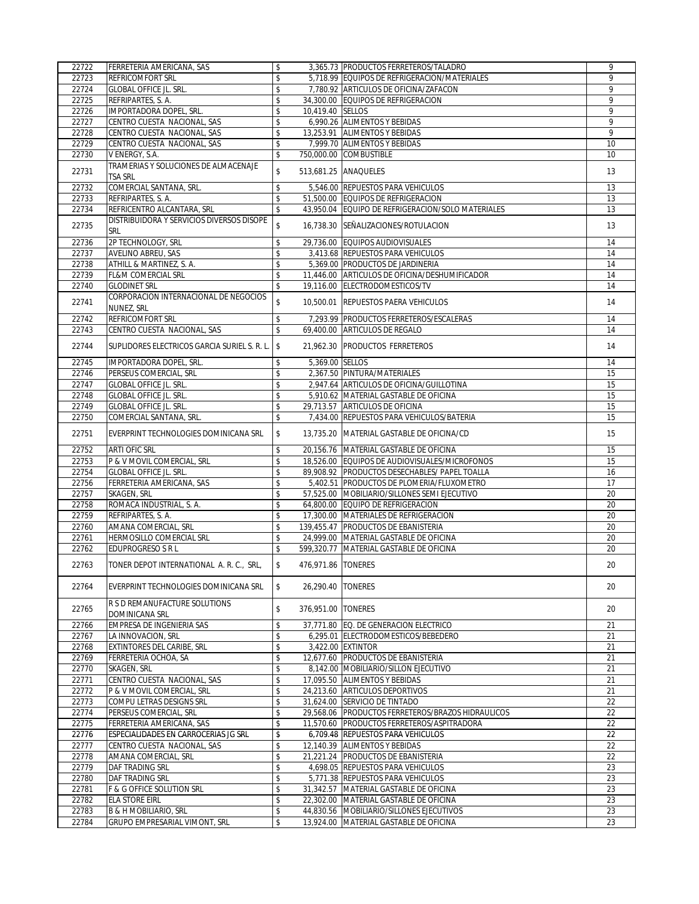| 22722          | FERRETERIA AMERICANA, SAS                    | \$         |                     | 3,365.73 PRODUCTOS FERRETEROS/TALADRO                           | 9              |
|----------------|----------------------------------------------|------------|---------------------|-----------------------------------------------------------------|----------------|
| 22723          | <b>REFRICOMFORT SRL</b>                      | \$         |                     | 5,718.99 EQUIPOS DE REFRIGERACION/MATERIALES                    | $\mathsf{Q}$   |
| 22724          | <b>GLOBAL OFFICE JL. SRL.</b>                | \$         |                     | 7,780.92 ARTICULOS DE OFICINA/ZAFACON                           | 9              |
| 22725          | REFRIPARTES, S. A.                           | \$         |                     | 34,300.00 EQUIPOS DE REFRIGERACION                              | 9              |
| 22726          | IMPORTADORA DOPEL, SRL.                      | \$         | 10,419.40 SELLOS    |                                                                 | 9              |
| 22727          | CENTRO CUESTA NACIONAL, SAS                  | \$         |                     | 6,990.26 ALIMENTOS Y BEBIDAS                                    | $\overline{9}$ |
| 22728          | CENTRO CUESTA NACIONAL, SAS                  | \$         |                     | 13.253.91 ALIMENTOS Y BEBIDAS                                   | 9              |
| 22729          | CENTRO CUESTA NACIONAL, SAS                  | \$         |                     | 7,999.70 ALIMENTOS Y BEBIDAS                                    | 10             |
| 22730          | V ENERGY, S.A.                               | \$         |                     | 750,000.00 COMBUSTIBLE                                          | 10             |
|                | TRAMERIAS Y SOLUCIONES DE ALMACENAJE         |            |                     |                                                                 |                |
| 22731          | <b>TSA SRL</b>                               | \$         |                     | 513,681.25 ANAQUELES                                            | 13             |
| 22732          | COMERCIAL SANTANA, SRL.                      | \$         |                     | 5.546.00 REPUESTOS PARA VEHICULOS                               | 13             |
| 22733          | REFRIPARTES, S. A.                           | \$         |                     | 51,500.00 EQUIPOS DE REFRIGERACION                              | 13             |
| 22734          | REFRICENTRO ALCANTARA, SRL                   | \$         |                     | 43,950.04 EQUIPO DE REFRIGERACION/SOLO MATERIALES               | 13             |
|                | DISTRIBUIDORA Y SERVICIOS DIVERSOS DISOPE    |            |                     |                                                                 |                |
| 22735          | <b>SRL</b>                                   | \$         |                     | 16,738.30 SEÑALIZACIONES/ROTULACION                             | 13             |
| 22736          | 2P TECHNOLOGY, SRL                           | \$         |                     | 29,736.00 EQUIPOS AUDIOVISUALES                                 | 14             |
| 22737          | AVELINO ABREU, SAS                           | \$         |                     | 3,413.68 REPUESTOS PARA VEHICULOS                               | 14             |
| 22738          | ATHILL & MARTINEZ, S. A.                     | \$         |                     | 5,369.00 PRODUCTOS DE JARDINERIA                                | 14             |
| 22739          | <b>FL&amp;M COMERCIAL SRL</b>                | \$         |                     | 11,446.00 ARTICULOS DE OFICINA/DESHUMIFICADOR                   | 14             |
| 22740          | <b>GLODINET SRL</b>                          | \$         |                     | 19,116.00 ELECTRODOMESTICOS/TV                                  | 14             |
|                | CORPORACION INTERNACIONAL DE NEGOCIOS        |            |                     |                                                                 |                |
| 22741          | NUNEZ, SRL                                   | \$         |                     | 10.500.01 REPUESTOS PAERA VEHICULOS                             | 14             |
| 22742          | <b>REFRICOMFORT SRL</b>                      | \$         |                     | 7,293.99 PRODUCTOS FERRETEROS/ESCALERAS                         | 14             |
| 22743          | CENTRO CUESTA NACIONAL, SAS                  | \$         |                     | 69.400.00 ARTICULOS DE REGALO                                   | 14             |
|                |                                              |            |                     |                                                                 |                |
| 22744          | SUPLIDORES ELECTRICOS GARCIA SURIEL S. R. L. | \$         |                     | 21,962.30 PRODUCTOS FERRETEROS                                  | 14             |
| 22745          | IMPORTADORA DOPEL, SRL.                      | \$         | 5,369.00 SELLOS     |                                                                 | 14             |
| 22746          | PERSEUS COMERCIAL, SRL                       | \$         |                     | 2,367.50 PINTURA/MATERIALES                                     | 15             |
| 22747          | <b>GLOBAL OFFICE JL. SRL.</b>                | \$         |                     | 2,947.64 ARTICULOS DE OFICINA/GUILLOTINA                        | 15             |
| 22748          | <b>GLOBAL OFFICE JL. SRL.</b>                | \$         |                     | 5,910.62 MATERIAL GASTABLE DE OFICINA                           | 15             |
| 22749          | <b>GLOBAL OFFICE JL. SRL.</b>                | \$         |                     | 29,713.57 ARTICULOS DE OFICINA                                  | 15             |
| 22750          | COMERCIAL SANTANA, SRL.                      | \$         |                     | 7,434.00 REPUESTOS PARA VEHICULOS/BATERIA                       | 15             |
|                |                                              |            |                     |                                                                 |                |
| 22751          | EVERPRINT TECHNOLOGIES DOMINICANA SRL        | \$         |                     | 13,735.20 MATERIAL GASTABLE DE OFICINA/CD                       | 15             |
| 22752          | <b>ARTI OFIC SRL</b>                         | \$         |                     | 20,156.76 MATERIAL GASTABLE DE OFICINA                          | 15             |
| 22753          | P & V MOVIL COMERCIAL, SRL                   | \$         |                     | 18,526.00 EQUIPOS DE AUDIOVISUALES/MICROFONOS                   | 15             |
| 22754          | <b>GLOBAL OFFICE JL. SRL.</b>                | \$         |                     | 89,908.92 PRODUCTOS DESECHABLES/ PAPEL TOALLA                   | 16             |
| 22756          | FERRETERIA AMERICANA, SAS                    | \$         |                     | 5,402.51 PRODUCTOS DE PLOMERIA/FLUXOMETRO                       | 17             |
| 22757          | SKAGEN, SRL                                  | \$         |                     | 57,525.00 MOBILIARIO/SILLONES SEMI EJECUTIVO                    | 20             |
| 22758          | ROMACA INDUSTRIAL, S. A.                     | \$         |                     | 64,800.00 EQUIPO DE REFRIGERACION                               | 20             |
| 22759          | REFRIPARTES, S.A.                            | \$         |                     | 17,300.00 MATERIALES DE REFRIGERACION                           | 20             |
| 22760          | AMANA COMERCIAL, SRL                         | \$         |                     | 139.455.47 PRODUCTOS DE EBANISTERIA                             | 20             |
| 22761          | HERMOSILLO COMERCIAL SRL                     | \$         |                     | 24,999.00 MATERIAL GASTABLE DE OFICINA                          | 20             |
| 22762          | EDUPROGRESO S R L                            | \$         |                     | 599,320.77 MATERIAL GASTABLE DE OFICINA                         | 20             |
|                |                                              |            |                     |                                                                 |                |
| 22763          | TONER DEPOT INTERNATIONAL A. R. C., SRL,     | \$         | 476,971.86 TONERES  |                                                                 | 20             |
|                |                                              |            |                     |                                                                 |                |
| 22764          | EVERPRINT TECHNOLOGIES DOMINICANA SRL        | $\sqrt{2}$ | 26,290.40   TONERES |                                                                 | 20             |
|                | R S D REMANUFACTURE SOLUTIONS                |            |                     |                                                                 |                |
| 22765          |                                              | \$         | 376,951.00 TONERES  |                                                                 | 20             |
|                | DOMINICANA SRL<br>EMPRESA DE INGENIERIA SAS  |            |                     | 37,771.80 EQ. DE GENERACION ELECTRICO                           |                |
| 22766<br>22767 | LA INNOVACION, SRL                           | \$<br>\$   |                     | 6,295.01 ELECTRODOMESTICOS/BEBEDERO                             | 21<br>21       |
| 22768          | <b>EXTINTORES DEL CARIBE, SRL</b>            | \$         |                     | 3,422.00 EXTINTOR                                               | 21             |
|                |                                              |            |                     | 12,677.60 PRODUCTOS DE EBANISTERIA                              |                |
| 22769          | FERRETERIA OCHOA, SA                         | \$         |                     |                                                                 | 21             |
| 22770<br>22771 | SKAGEN, SRL<br>CENTRO CUESTA NACIONAL, SAS   | \$         |                     | 8,142.00 MOBILIARIO/SILLON EJECUTIVO                            | 21             |
| 22772          | P & V MOVIL COMERCIAL, SRL                   | \$<br>\$   |                     | 17,095.50 ALIMENTOS Y BEBIDAS<br>24,213.60 ARTICULOS DEPORTIVOS | 21<br>21       |
|                |                                              |            |                     |                                                                 |                |
| 22773<br>22774 | COMPU LETRAS DESIGNS SRL                     | \$         |                     | 31,624.00 SERVICIO DE TINTADO                                   | 22<br>22       |
|                | PERSEUS COMERCIAL, SRL                       | \$<br>\$   |                     | 29,568.06 PRODUCTOS FERRETEROS/BRAZOS HIDRAULICOS               |                |
| 22775<br>22776 | FERRETERIA AMERICANA, SAS                    |            |                     | 11,570.60 PRODUCTOS FERRETEROS/ASPITRADORA                      | 22             |
|                | ESPECIALIDADES EN CARROCERIAS JG SRL         | \$         |                     | 6,709.48 REPUESTOS PARA VEHICULOS                               | 22             |
| 22777          | CENTRO CUESTA NACIONAL, SAS                  | \$         |                     | 12,140.39 ALIMENTOS Y BEBIDAS                                   | 22             |
| 22778          | AMANA COMERCIAL, SRL                         | \$         |                     | 21,221.24 PRODUCTOS DE EBANISTERIA                              | 22             |
| 22779          | DAF TRADING SRL                              | \$         |                     | 4,698.05 REPUESTOS PARA VEHICULOS                               | 23             |
| 22780          | DAF TRADING SRL                              | \$         |                     | 5,771.38 REPUESTOS PARA VEHICULOS                               | 23             |
| 22781          | F & G OFFICE SOLUTION SRL                    | \$         |                     | 31,342.57 MATERIAL GASTABLE DE OFICINA                          | 23             |
| 22782          | <b>ELA STORE EIRL</b>                        | \$         |                     | 22,302.00 MATERIAL GASTABLE DE OFICINA                          | 23             |
| 22783          | <b>B &amp; H MOBILIARIO, SRL</b>             | \$         |                     | 44,830.56 MOBILIARIO/SILLONES EJECUTIVOS                        | 23             |
| 22784          | GRUPO EMPRESARIAL VIMONT, SRL                | \$         |                     | 13,924.00 MATERIAL GASTABLE DE OFICINA                          | 23             |